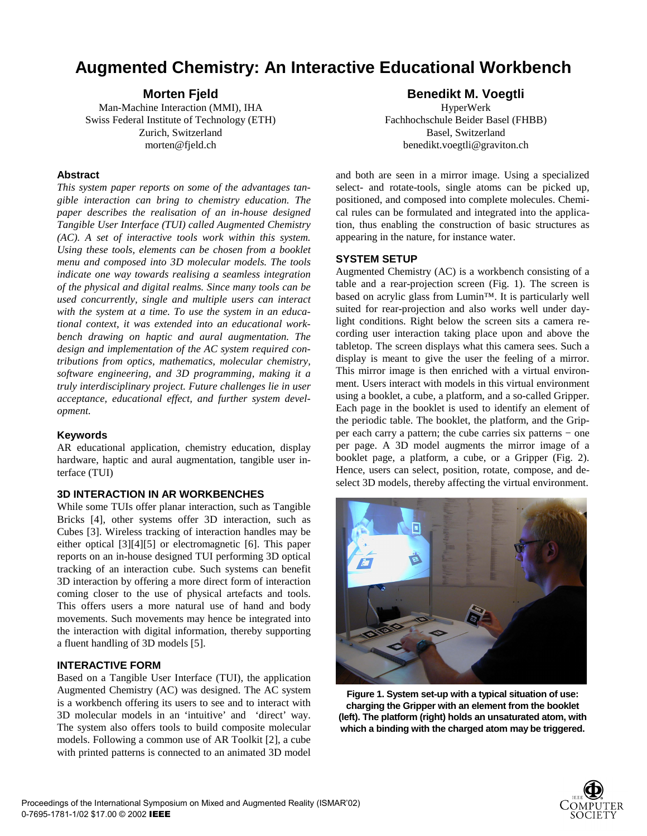# **Augmented Chemistry: An Interactive Educational Workbench**

**Morten Fjeld**

Man-Machine Interaction (MMI), IHA Swiss Federal Institute of Technology (ETH) Zurich, Switzerland morten@fjeld.ch

#### **Abstract**

*This system paper reports on some of the advantages tangible interaction can bring to chemistry education. The paper describes the realisation of an in-house designed Tangible User Interface (TUI) called Augmented Chemistry (AC). A set of interactive tools work within this system. Using these tools, elements can be chosen from a booklet menu and composed into 3D molecular models. The tools indicate one way towards realising a seamless integration of the physical and digital realms. Since many tools can be used concurrently, single and multiple users can interact with the system at a time. To use the system in an educational context, it was extended into an educational workbench drawing on haptic and aural augmentation. The design and implementation of the AC system required contributions from optics, mathematics, molecular chemistry, software engineering, and 3D programming, making it a truly interdisciplinary project. Future challenges lie in user acceptance, educational effect, and further system development.*

# **Keywords**

AR educational application, chemistry education, display hardware, haptic and aural augmentation, tangible user interface (TUI)

# **3D INTERACTION IN AR WORKBENCHES**

While some TUIs offer planar interaction, such as Tangible Bricks [4], other systems offer 3D interaction, such as Cubes [3]. Wireless tracking of interaction handles may be either optical [3][4][5] or electromagnetic [6]. This paper reports on an in-house designed TUI performing 3D optical tracking of an interaction cube. Such systems can benefit 3D interaction by offering a more direct form of interaction coming closer to the use of physical artefacts and tools. This offers users a more natural use of hand and body movements. Such movements may hence be integrated into the interaction with digital information, thereby supporting a fluent handling of 3D models [5].

# **INTERACTIVE FORM**

Based on a Tangible User Interface (TUI), the application Augmented Chemistry (AC) was designed. The AC system is a workbench offering its users to see and to interact with 3D molecular models in an 'intuitive' and 'direct' way. The system also offers tools to build composite molecular models. Following a common use of AR Toolkit [2], a cube with printed patterns is connected to an animated 3D model

# **Benedikt M. Voegtli**

HyperWerk Fachhochschule Beider Basel (FHBB) Basel, Switzerland benedikt.voegtli@graviton.ch

and both are seen in a mirror image. Using a specialized select- and rotate-tools, single atoms can be picked up, positioned, and composed into complete molecules. Chemical rules can be formulated and integrated into the application, thus enabling the construction of basic structures as appearing in the nature, for instance water.

#### **SYSTEM SETUP**

Augmented Chemistry (AC) is a workbench consisting of a table and a rear-projection screen (Fig. 1). The screen is based on acrylic glass from Lumin™. It is particularly well suited for rear-projection and also works well under daylight conditions. Right below the screen sits a camera recording user interaction taking place upon and above the tabletop. The screen displays what this camera sees. Such a display is meant to give the user the feeling of a mirror. This mirror image is then enriched with a virtual environment. Users interact with models in this virtual environment using a booklet, a cube, a platform, and a so-called Gripper. Each page in the booklet is used to identify an element of the periodic table. The booklet, the platform, and the Gripper each carry a pattern; the cube carries six patterns − one per page. A 3D model augments the mirror image of a booklet page, a platform, a cube, or a Gripper (Fig. 2). Hence, users can select, position, rotate, compose, and deselect 3D models, thereby affecting the virtual environment.



**Figure 1. System set-up with a typical situation of use: charging the Gripper with an element from the booklet (left). The platform (right) holds an unsaturated atom, with which a binding with the charged atom may be triggered.**